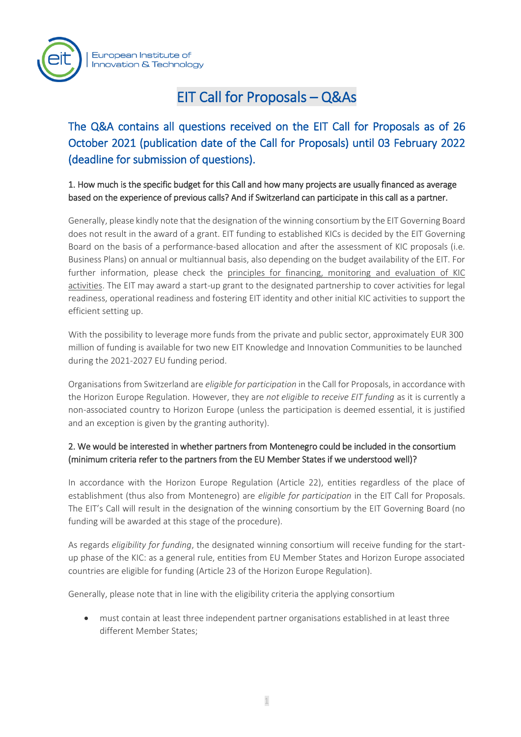

# EIT Call for Proposals – Q&As

The Q&A contains all questions received on the EIT Call for Proposals as of 26 October 2021 (publication date of the Call for Proposals) until 03 February 2022 (deadline for submission of questions).

1. How much is the specific budget for this Call and how many projects are usually financed as average based on the experience of previous calls? And if Switzerland can participate in this call as a partner.

Generally, please kindly note that the designation of the winning consortium by the EIT Governing Board does not result in the award of a grant. EIT funding to established KICs is decided by the EIT Governing Board on the basis of a performance-based allocation and after the assessment of KIC proposals (i.e. Business Plans) on annual or multiannual basis, also depending on the budget availability of the EIT. For further information, please check the [principles for financing, monitoring](https://eur06.safelinks.protection.outlook.com/?url=https%3A%2F%2Feit.europa.eu%2Fsites%2Fdefault%2Ffiles%2F2021-14_20210507-gbwp_principles_on_fin_mon_eval_kics_activities_to_gb_dml_eit.pdf&data=04%7C01%7CEIT-KICs-Call-2021%40eit.europa.eu%7C018c8279348648e439fa08d999e061a9%7Cd3092f1488d24a778942296a0d2cc07e%7C0%7C0%7C637710011254192461%7CUnknown%7CTWFpbGZsb3d8eyJWIjoiMC4wLjAwMDAiLCJQIjoiV2luMzIiLCJBTiI6Ik1haWwiLCJXVCI6Mn0%3D%7C1000&sdata=rsZFkbHeeAQCqDK88ll26mG2%2BzzdGR5DZ69%2FWJojfCo%3D&reserved=0) and evaluation of KIC [activities.](https://eur06.safelinks.protection.outlook.com/?url=https%3A%2F%2Feit.europa.eu%2Fsites%2Fdefault%2Ffiles%2F2021-14_20210507-gbwp_principles_on_fin_mon_eval_kics_activities_to_gb_dml_eit.pdf&data=04%7C01%7CEIT-KICs-Call-2021%40eit.europa.eu%7C018c8279348648e439fa08d999e061a9%7Cd3092f1488d24a778942296a0d2cc07e%7C0%7C0%7C637710011254192461%7CUnknown%7CTWFpbGZsb3d8eyJWIjoiMC4wLjAwMDAiLCJQIjoiV2luMzIiLCJBTiI6Ik1haWwiLCJXVCI6Mn0%3D%7C1000&sdata=rsZFkbHeeAQCqDK88ll26mG2%2BzzdGR5DZ69%2FWJojfCo%3D&reserved=0) The EIT may award a start-up grant to the designated partnership to cover activities for legal readiness, operational readiness and fostering EIT identity and other initial KIC activities to support the efficient setting up.

With the possibility to leverage more funds from the private and public sector, approximately EUR 300 million of funding is available for two new EIT Knowledge and Innovation Communities to be launched during the 2021-2027 EU funding period.

Organisations from Switzerland are *eligible for participation* in the Call for Proposals, in accordance with the Horizon Europe Regulation. However, they are *not eligible to receive EIT funding* as it is currently a non-associated country to Horizon Europe (unless the participation is deemed essential, it is justified and an exception is given by the granting authority).

### 2. We would be interested in whether partners from Montenegro could be included in the consortium (minimum criteria refer to the partners from the EU Member States if we understood well)?

In accordance with the Horizon Europe Regulation (Article 22), entities regardless of the place of establishment (thus also from Montenegro) are *eligible for participation* in the EIT Call for Proposals. The EIT's Call will result in the designation of the winning consortium by the EIT Governing Board (no funding will be awarded at this stage of the procedure).

As regards *eligibility for funding*, the designated winning consortium will receive funding for the startup phase of the KIC: as a general rule, entities from EU Member States and Horizon Europe associated countries are eligible for funding (Article 23 of the Horizon Europe Regulation).

Generally, please note that in line with the eligibility criteria the applying consortium

• must contain at least three independent partner organisations established in at least three different Member States;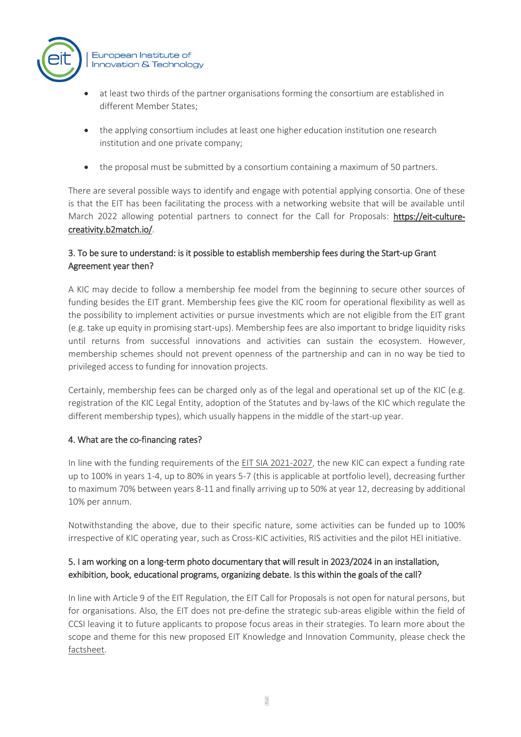

- at least two thirds of the partner organisations forming the consortium are established in different Member States;
- the applying consortium includes at least one higher education institution one research institution and one private company;
- the proposal must be submitted by a consortium containing a maximum of 50 partners.

There are several possible ways to identify and engage with potential applying consortia. One of these is that the EIT has been facilitating the process with a networking website that will be available until March 2022 allowing potential partners to connect for the Call for Proposals: [https://eit-culture](https://eur06.safelinks.protection.outlook.com/?url=https%3A%2F%2Feit-culture-creativity.b2match.io%2F&data=04%7C01%7CEIT-KICs-Call-2021%40eit.europa.eu%7Cc1243bad7a1b40681e3808d9a03c48c6%7Cd3092f1488d24a778942296a0d2cc07e%7C0%7C0%7C637717003074774559%7CUnknown%7CTWFpbGZsb3d8eyJWIjoiMC4wLjAwMDAiLCJQIjoiV2luMzIiLCJBTiI6Ik1haWwiLCJXVCI6Mn0%3D%7C1000&sdata=o4bUHtrrBPeCEEE%2B%2B6zl%2B0rQM5vzNp0yzSivJMtcrtk%3D&reserved=0)[creativity.b2match.io/.](https://eur06.safelinks.protection.outlook.com/?url=https%3A%2F%2Feit-culture-creativity.b2match.io%2F&data=04%7C01%7CEIT-KICs-Call-2021%40eit.europa.eu%7Cc1243bad7a1b40681e3808d9a03c48c6%7Cd3092f1488d24a778942296a0d2cc07e%7C0%7C0%7C637717003074774559%7CUnknown%7CTWFpbGZsb3d8eyJWIjoiMC4wLjAwMDAiLCJQIjoiV2luMzIiLCJBTiI6Ik1haWwiLCJXVCI6Mn0%3D%7C1000&sdata=o4bUHtrrBPeCEEE%2B%2B6zl%2B0rQM5vzNp0yzSivJMtcrtk%3D&reserved=0)

### 3. To be sure to understand: is it possible to establish membership fees during the Start-up Grant Agreement year then?

A KIC may decide to follow a membership fee model from the beginning to secure other sources of funding besides the EIT grant. Membership fees give the KIC room for operational flexibility as well as the possibility to implement activities or pursue investments which are not eligible from the EIT grant (e.g. take up equity in promising start-ups). Membership fees are also important to bridge liquidity risks until returns from successful innovations and activities can sustain the ecosystem. However, membership schemes should not prevent openness of the partnership and can in no way be tied to privileged access to funding for innovation projects.

Certainly, membership fees can be charged only as of the legal and operational set up of the KIC (e.g. registration of the KIC Legal Entity, adoption of the Statutes and by-laws of the KIC which regulate the different membership types), which usually happens in the middle of the start-up year.

#### 4. What are the co-financing rates?

In line with the funding requirements of the [EIT SIA 2021-2027,](https://eur-lex.europa.eu/legal-content/EN/TXT/PDF/?uri=OJ:L:2021:189:FULL&from=EN) the new KIC can expect a funding rate up to 100% in years 1-4, up to 80% in years 5-7 (this is applicable at portfolio level), decreasing further to maximum 70% between years 8-11 and finally arriving up to 50% at year 12, decreasing by additional 10% per annum.

Notwithstanding the above, due to their specific nature, some activities can be funded up to 100% irrespective of KIC operating year, such as Cross-KIC activities, RIS activities and the pilot HEI initiative.

### 5. I am working on a long-term photo documentary that will result in 2023/2024 in an installation, exhibition, book, educational programs, organizing debate. Is this within the goals of the call?

In line with Article 9 of the EIT Regulation, the EIT Call for Proposals is not open for natural persons, but for organisations. Also, the EIT does not pre-define the strategic sub-areas eligible within the field of CCSI leaving it to future applicants to propose focus areas in their strategies. To learn more about the scope and theme for this new proposed EIT Knowledge and Innovation Community, please check the [factsheet.](https://eit.europa.eu/sites/default/files/factsheet_on_the_kic_on_cultural_and_creative_sectors_and_industries_ccsi.pdf)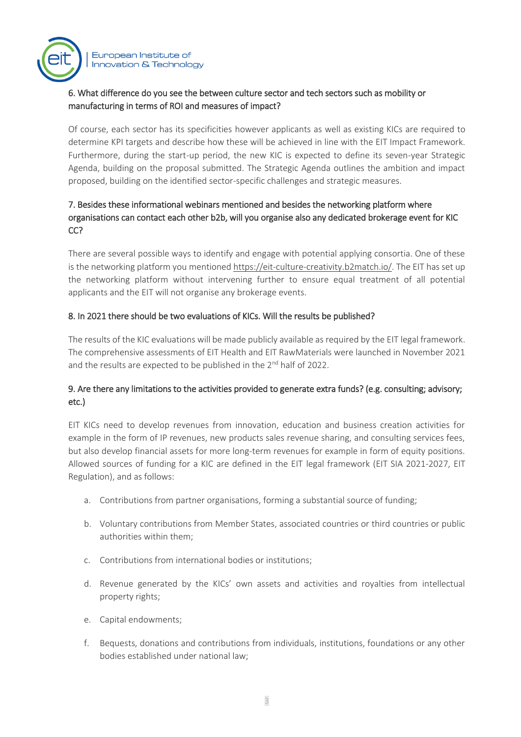

#### 6. What difference do you see the between culture sector and tech sectors such as mobility or manufacturing in terms of ROI and measures of impact?

Of course, each sector has its specificities however applicants as well as existing KICs are required to determine KPI targets and describe how these will be achieved in line with the EIT Impact Framework. Furthermore, during the start-up period, the new KIC is expected to define its seven-year Strategic Agenda, building on the proposal submitted. The Strategic Agenda outlines the ambition and impact proposed, building on the identified sector-specific challenges and strategic measures.

## 7. Besides these informational webinars mentioned and besides the networking platform where organisations can contact each other b2b, will you organise also any dedicated brokerage event for KIC CC?

There are several possible ways to identify and engage with potential applying consortia. One of these is the networking platform you mentione[d https://eit-culture-creativity.b2match.io/.](https://eur06.safelinks.protection.outlook.com/?url=https%3A%2F%2Feit-culture-creativity.b2match.io%2F&data=04%7C01%7CEIT-KICs-Call-2021%40eit.europa.eu%7Cc1243bad7a1b40681e3808d9a03c48c6%7Cd3092f1488d24a778942296a0d2cc07e%7C0%7C0%7C637717003074774559%7CUnknown%7CTWFpbGZsb3d8eyJWIjoiMC4wLjAwMDAiLCJQIjoiV2luMzIiLCJBTiI6Ik1haWwiLCJXVCI6Mn0%3D%7C1000&sdata=o4bUHtrrBPeCEEE%2B%2B6zl%2B0rQM5vzNp0yzSivJMtcrtk%3D&reserved=0) The EIT has set up the networking platform without intervening further to ensure equal treatment of all potential applicants and the EIT will not organise any brokerage events.

### 8. In 2021 there should be two evaluations of KICs. Will the results be published?

The results of the KIC evaluations will be made publicly available as required by the EIT legal framework. The comprehensive assessments of EIT Health and EIT RawMaterials were launched in November 2021 and the results are expected to be published in the 2<sup>nd</sup> half of 2022.

### 9. Are there any limitations to the activities provided to generate extra funds? (e.g. consulting; advisory; etc.)

EIT KICs need to develop revenues from innovation, education and business creation activities for example in the form of IP revenues, new products sales revenue sharing, and consulting services fees, but also develop financial assets for more long-term revenues for example in form of equity positions. Allowed sources of funding for a KIC are defined in the EIT legal framework (EIT SIA 2021-2027, EIT Regulation), and as follows:

- a. Contributions from partner organisations, forming a substantial source of funding;
- b. Voluntary contributions from Member States, associated countries or third countries or public authorities within them;
- c. Contributions from international bodies or institutions;
- d. Revenue generated by the KICs' own assets and activities and royalties from intellectual property rights;
- e. Capital endowments;
- f. Bequests, donations and contributions from individuals, institutions, foundations or any other bodies established under national law;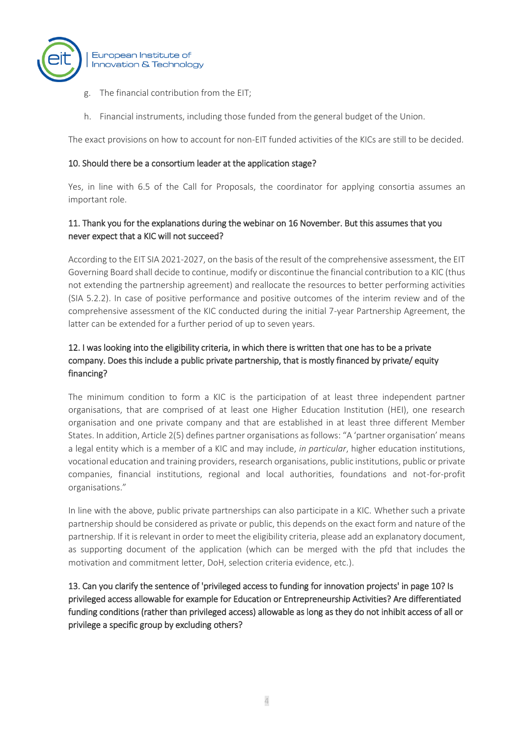

- g. The financial contribution from the EIT;
- h. Financial instruments, including those funded from the general budget of the Union.

The exact provisions on how to account for non-EIT funded activities of the KICs are still to be decided.

#### 10. Should there be a consortium leader at the application stage?

Yes, in line with 6.5 of the Call for Proposals, the coordinator for applying consortia assumes an important role.

#### 11. Thank you for the explanations during the webinar on 16 November. But this assumes that you never expect that a KIC will not succeed?

According to the EIT SIA 2021-2027, on the basis of the result of the comprehensive assessment, the EIT Governing Board shall decide to continue, modify or discontinue the financial contribution to a KIC (thus not extending the partnership agreement) and reallocate the resources to better performing activities (SIA 5.2.2). In case of positive performance and positive outcomes of the interim review and of the comprehensive assessment of the KIC conducted during the initial 7-year Partnership Agreement, the latter can be extended for a further period of up to seven years.

## 12. I was looking into the eligibility criteria, in which there is written that one has to be a private company. Does this include a public private partnership, that is mostly financed by private/ equity financing?

The minimum condition to form a KIC is the participation of at least three independent partner organisations, that are comprised of at least one Higher Education Institution (HEI), one research organisation and one private company and that are established in at least three different Member States. In addition, Article 2(5) defines partner organisations as follows: "A 'partner organisation' means a legal entity which is a member of a KIC and may include, *in particular*, higher education institutions, vocational education and training providers, research organisations, public institutions, public or private companies, financial institutions, regional and local authorities, foundations and not-for-profit organisations."

In line with the above, public private partnerships can also participate in a KIC. Whether such a private partnership should be considered as private or public, this depends on the exact form and nature of the partnership. If it is relevant in order to meet the eligibility criteria, please add an explanatory document, as supporting document of the application (which can be merged with the pfd that includes the motivation and commitment letter, DoH, selection criteria evidence, etc.).

13. Can you clarify the sentence of 'privileged access to funding for innovation projects' in page 10? Is privileged access allowable for example for Education or Entrepreneurship Activities? Are differentiated funding conditions (rather than privileged access) allowable as long as they do not inhibit access of all or privilege a specific group by excluding others?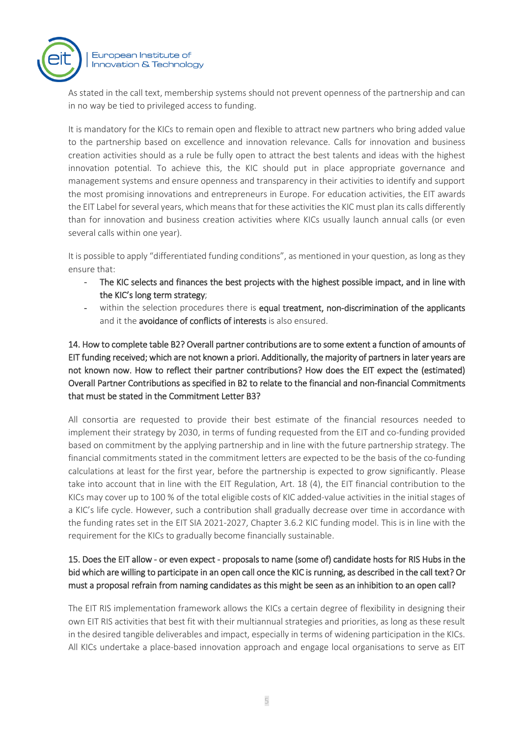

As stated in the call text, membership systems should not prevent openness of the partnership and can in no way be tied to privileged access to funding.

It is mandatory for the KICs to remain open and flexible to attract new partners who bring added value to the partnership based on excellence and innovation relevance. Calls for innovation and business creation activities should as a rule be fully open to attract the best talents and ideas with the highest innovation potential. To achieve this, the KIC should put in place appropriate governance and management systems and ensure openness and transparency in their activities to identify and support the most promising innovations and entrepreneurs in Europe. For education activities, the EIT awards the EIT Label for several years, which means that for these activities the KIC must plan its calls differently than for innovation and business creation activities where KICs usually launch annual calls (or even several calls within one year).

It is possible to apply "differentiated funding conditions", as mentioned in your question, as long as they ensure that:

- The KIC selects and finances the best projects with the highest possible impact, and in line with the KIC's long term strategy;
- within the selection procedures there is equal treatment, non-discrimination of the applicants and it the avoidance of conflicts of interests is also ensured.

14. How to complete table B2? Overall partner contributions are to some extent a function of amounts of EIT funding received; which are not known a priori. Additionally, the majority of partners in later years are not known now. How to reflect their partner contributions? How does the EIT expect the (estimated) Overall Partner Contributions as specified in B2 to relate to the financial and non-financial Commitments that must be stated in the Commitment Letter B3?

All consortia are requested to provide their best estimate of the financial resources needed to implement their strategy by 2030, in terms of funding requested from the EIT and co-funding provided based on commitment by the applying partnership and in line with the future partnership strategy. The financial commitments stated in the commitment letters are expected to be the basis of the co-funding calculations at least for the first year, before the partnership is expected to grow significantly. Please take into account that in line with the EIT Regulation, Art. 18 (4), the EIT financial contribution to the KICs may cover up to 100 % of the total eligible costs of KIC added-value activities in the initial stages of a KIC's life cycle. However, such a contribution shall gradually decrease over time in accordance with the funding rates set in the EIT SIA 2021-2027, Chapter 3.6.2 KIC funding model. This is in line with the requirement for the KICs to gradually become financially sustainable.

### 15. Does the EIT allow - or even expect - proposals to name (some of) candidate hosts for RIS Hubs in the bid which are willing to participate in an open call once the KIC is running, as described in the call text? Or must a proposal refrain from naming candidates as this might be seen as an inhibition to an open call?

The EIT RIS implementation framework allows the KICs a certain degree of flexibility in designing their own EIT RIS activities that best fit with their multiannual strategies and priorities, as long as these result in the desired tangible deliverables and impact, especially in terms of widening participation in the KICs. All KICs undertake a place-based innovation approach and engage local organisations to serve as EIT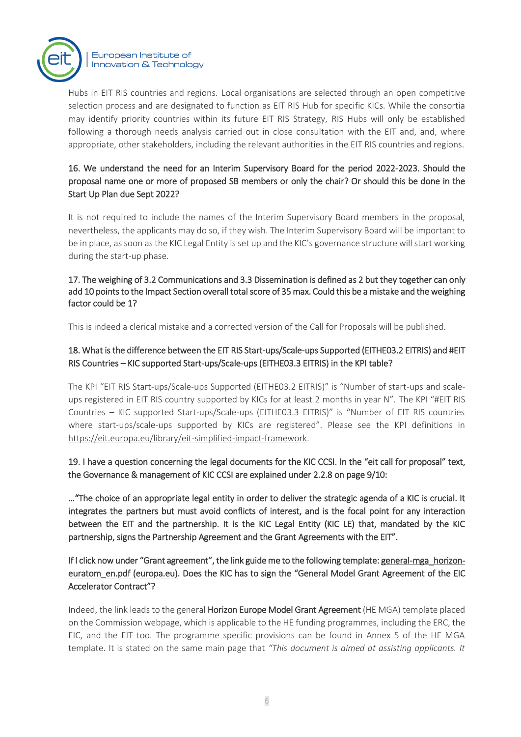

Hubs in EIT RIS countries and regions. Local organisations are selected through an open competitive selection process and are designated to function as EIT RIS Hub for specific KICs. While the consortia may identify priority countries within its future EIT RIS Strategy, RIS Hubs will only be established following a thorough needs analysis carried out in close consultation with the EIT and, and, where appropriate, other stakeholders, including the relevant authorities in the EIT RIS countries and regions.

### 16. We understand the need for an Interim Supervisory Board for the period 2022-2023. Should the proposal name one or more of proposed SB members or only the chair? Or should this be done in the Start Up Plan due Sept 2022?

It is not required to include the names of the Interim Supervisory Board members in the proposal, nevertheless, the applicants may do so, if they wish. The Interim Supervisory Board will be important to be in place, as soon as the KIC Legal Entity is set up and the KIC's governance structure will start working during the start-up phase.

#### 17. The weighing of 3.2 Communications and 3.3 Dissemination is defined as 2 but they together can only add 10 points to the Impact Section overall total score of 35 max. Could this be a mistake and the weighing factor could be 1?

This is indeed a clerical mistake and a corrected version of the Call for Proposals will be published.

## 18. What is the difference between the EIT RIS Start-ups/Scale-ups Supported (EITHE03.2 EITRIS) and #EIT RIS Countries – KIC supported Start-ups/Scale-ups (EITHE03.3 EITRIS) in the KPI table?

The KPI "EIT RIS Start-ups/Scale-ups Supported (EITHE03.2 EITRIS)" is "Number of start-ups and scaleups registered in EIT RIS country supported by KICs for at least 2 months in year N". The KPI "#EIT RIS Countries – KIC supported Start-ups/Scale-ups (EITHE03.3 EITRIS)" is "Number of EIT RIS countries where start-ups/scale-ups supported by KICs are registered". Please see the KPI definitions in [https://eit.europa.eu/library/eit-simplified-impact-framework.](https://eit.europa.eu/library/eit-simplified-impact-framework)

### 19. I have a question concerning the legal documents for the KIC CCSI. In the "eit call for proposal" text, the Governance & management of KIC CCSI are explained under 2.2.8 on page 9/10:

…"The choice of an appropriate legal entity in order to deliver the strategic agenda of a KIC is crucial. It integrates the partners but must avoid conflicts of interest, and is the focal point for any interaction between the EIT and the partnership. It is the KIC Legal Entity (KIC LE) that, mandated by the KIC partnership, signs the Partnership Agreement and the Grant Agreements with the EIT".

### If I click now under "Grant agreement", the link guide me to the following template: [general-mga\\_horizon](https://eur06.safelinks.protection.outlook.com/?url=https%3A%2F%2Fec.europa.eu%2Finfo%2Ffunding-tenders%2Fopportunities%2Fdocs%2F2021-2027%2Fcommon%2Fagr-contr%2Fgeneral-mga_horizon-euratom_en.pdf&data=04%7C01%7Ckaterina.sereti%40eit.europa.eu%7Cbcf1b331a0774013b11a08d9af36b744%7Cd3092f1488d24a778942296a0d2cc07e%7C0%7C0%7C637733471980377772%7CUnknown%7CTWFpbGZsb3d8eyJWIjoiMC4wLjAwMDAiLCJQIjoiV2luMzIiLCJBTiI6Ik1haWwiLCJXVCI6Mn0%3D%7C3000&sdata=bParqgSF4Acm7aZUJpuUbdXu8TxOd02SGrjEtViWMHY%3D&reserved=0)[euratom\\_en.pdf \(europa.eu\).](https://eur06.safelinks.protection.outlook.com/?url=https%3A%2F%2Fec.europa.eu%2Finfo%2Ffunding-tenders%2Fopportunities%2Fdocs%2F2021-2027%2Fcommon%2Fagr-contr%2Fgeneral-mga_horizon-euratom_en.pdf&data=04%7C01%7Ckaterina.sereti%40eit.europa.eu%7Cbcf1b331a0774013b11a08d9af36b744%7Cd3092f1488d24a778942296a0d2cc07e%7C0%7C0%7C637733471980377772%7CUnknown%7CTWFpbGZsb3d8eyJWIjoiMC4wLjAwMDAiLCJQIjoiV2luMzIiLCJBTiI6Ik1haWwiLCJXVCI6Mn0%3D%7C3000&sdata=bParqgSF4Acm7aZUJpuUbdXu8TxOd02SGrjEtViWMHY%3D&reserved=0) Does the KIC has to sign the "General Model Grant Agreement of the EIC Accelerator Contract"?

Indeed, the link leads to the general Horizon Europe Model Grant Agreement (HE MGA) template placed on the Commission webpage, which is applicable to the HE funding programmes, including the ERC, the EIC, and the EIT too. The programme specific provisions can be found in Annex 5 of the HE MGA template. It is stated on the same main page that *"This document is aimed at assisting applicants. It*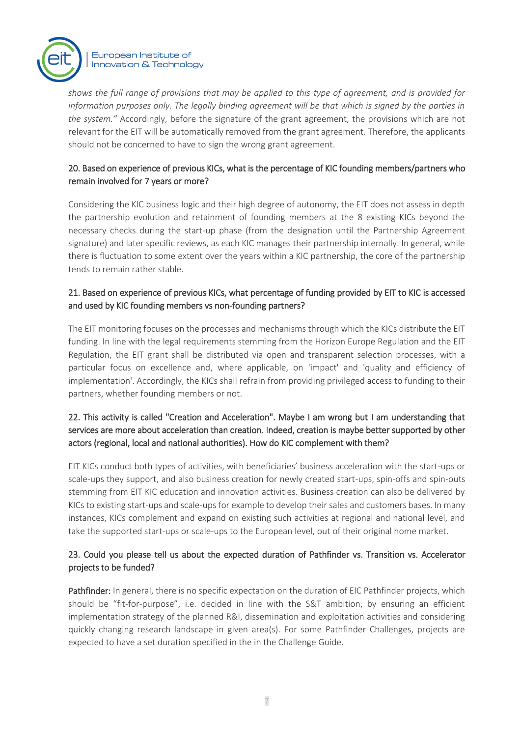

*shows the full range of provisions that may be applied to this type of agreement, and is provided for information purposes only. The legally binding agreement will be that which is signed by the parties in the system."* Accordingly, before the signature of the grant agreement, the provisions which are not relevant for the EIT will be automatically removed from the grant agreement. Therefore, the applicants should not be concerned to have to sign the wrong grant agreement.

### 20. Based on experience of previous KICs, what is the percentage of KIC founding members/partners who remain involved for 7 years or more?

Considering the KIC business logic and their high degree of autonomy, the EIT does not assess in depth the partnership evolution and retainment of founding members at the 8 existing KICs beyond the necessary checks during the start-up phase (from the designation until the Partnership Agreement signature) and later specific reviews, as each KIC manages their partnership internally. In general, while there is fluctuation to some extent over the years within a KIC partnership, the core of the partnership tends to remain rather stable.

#### 21. Based on experience of previous KICs, what percentage of funding provided by EIT to KIC is accessed and used by KIC founding members vs non-founding partners?

The EIT monitoring focuses on the processes and mechanisms through which the KICs distribute the EIT funding. In line with the legal requirements stemming from the Horizon Europe Regulation and the EIT Regulation, the EIT grant shall be distributed via open and transparent selection processes, with a particular focus on excellence and, where applicable, on 'impact' and 'quality and efficiency of implementation'. Accordingly, the KICs shall refrain from providing privileged access to funding to their partners, whether founding members or not.

## 22. This activity is called "Creation and Acceleration". Maybe I am wrong but I am understanding that services are more about acceleration than creation. Indeed, creation is maybe better supported by other actors (regional, local and national authorities). How do KIC complement with them?

EIT KICs conduct both types of activities, with beneficiaries' business acceleration with the start-ups or scale-ups they support, and also business creation for newly created start-ups, spin-offs and spin-outs stemming from EIT KIC education and innovation activities. Business creation can also be delivered by KICs to existing start-ups and scale-ups for example to develop their sales and customers bases. In many instances, KICs complement and expand on existing such activities at regional and national level, and take the supported start-ups or scale-ups to the European level, out of their original home market.

### 23. Could you please tell us about the expected duration of Pathfinder vs. Transition vs. Accelerator projects to be funded?

Pathfinder: In general, there is no specific expectation on the duration of EIC Pathfinder projects, which should be "fit-for-purpose", i.e. decided in line with the S&T ambition, by ensuring an efficient implementation strategy of the planned R&I, dissemination and exploitation activities and considering quickly changing research landscape in given area(s). For some Pathfinder Challenges, projects are expected to have a set duration specified in the in the Challenge Guide.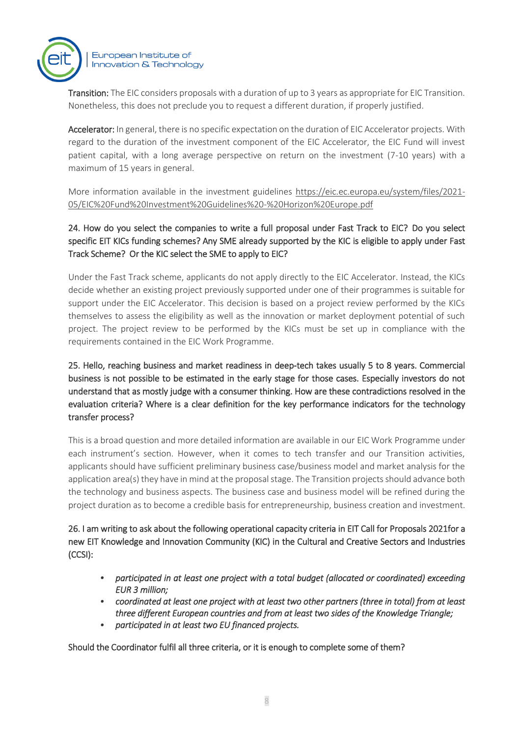

Transition: The EIC considers proposals with a duration of up to 3 years as appropriate for EIC Transition. Nonetheless, this does not preclude you to request a different duration, if properly justified.

Accelerator: In general, there is no specific expectation on the duration of EIC Accelerator projects. With regard to the duration of the investment component of the EIC Accelerator, the EIC Fund will invest patient capital, with a long average perspective on return on the investment (7-10 years) with a maximum of 15 years in general.

More information available in the investment guidelines [https://eic.ec.europa.eu/system/files/2021-](https://eur06.safelinks.protection.outlook.com/?url=https%3A%2F%2Feic.ec.europa.eu%2Fsystem%2Ffiles%2F2021-05%2FEIC%2520Fund%2520Investment%2520Guidelines%2520-%2520Horizon%2520Europe.pdf&data=04%7C01%7CRobert.Boyle%40eit.europa.eu%7C99be6d6e16374acd749708d9be4e9629%7Cd3092f1488d24a778942296a0d2cc07e%7C0%7C0%7C637750067009698186%7CUnknown%7CTWFpbGZsb3d8eyJWIjoiMC4wLjAwMDAiLCJQIjoiV2luMzIiLCJBTiI6Ik1haWwiLCJXVCI6Mn0%3D%7C3000&sdata=MXjUDEpcC43cm5PR%2F3sO4WOziNkU%2FcAtXkhzAg5JYZM%3D&reserved=0) [05/EIC%20Fund%20Investment%20Guidelines%20-%20Horizon%20Europe.pdf](https://eur06.safelinks.protection.outlook.com/?url=https%3A%2F%2Feic.ec.europa.eu%2Fsystem%2Ffiles%2F2021-05%2FEIC%2520Fund%2520Investment%2520Guidelines%2520-%2520Horizon%2520Europe.pdf&data=04%7C01%7CRobert.Boyle%40eit.europa.eu%7C99be6d6e16374acd749708d9be4e9629%7Cd3092f1488d24a778942296a0d2cc07e%7C0%7C0%7C637750067009698186%7CUnknown%7CTWFpbGZsb3d8eyJWIjoiMC4wLjAwMDAiLCJQIjoiV2luMzIiLCJBTiI6Ik1haWwiLCJXVCI6Mn0%3D%7C3000&sdata=MXjUDEpcC43cm5PR%2F3sO4WOziNkU%2FcAtXkhzAg5JYZM%3D&reserved=0)

24. How do you select the companies to write a full proposal under Fast Track to EIC? Do you select specific EIT KICs funding schemes? Any SME already supported by the KIC is eligible to apply under Fast Track Scheme? Or the KIC select the SME to apply to EIC?

Under the Fast Track scheme, applicants do not apply directly to the EIC Accelerator. Instead, the KICs decide whether an existing project previously supported under one of their programmes is suitable for support under the EIC Accelerator. This decision is based on a project review performed by the KICs themselves to assess the eligibility as well as the innovation or market deployment potential of such project. The project review to be performed by the KICs must be set up in compliance with the requirements contained in the EIC Work Programme.

25. Hello, reaching business and market readiness in deep-tech takes usually 5 to 8 years. Commercial business is not possible to be estimated in the early stage for those cases. Especially investors do not understand that as mostly judge with a consumer thinking. How are these contradictions resolved in the evaluation criteria? Where is a clear definition for the key performance indicators for the technology transfer process?

This is a broad question and more detailed information are available in our EIC Work Programme under each instrument's section. However, when it comes to tech transfer and our Transition activities, applicants should have sufficient preliminary business case/business model and market analysis for the application area(s) they have in mind at the proposal stage. The Transition projects should advance both the technology and business aspects. The business case and business model will be refined during the project duration as to become a credible basis for entrepreneurship, business creation and investment.

26. I am writing to ask about the following operational capacity criteria in EIT Call for Proposals 2021for a new EIT Knowledge and Innovation Community (KIC) in the Cultural and Creative Sectors and Industries (CCSI):

- *• participated in at least one project with a total budget (allocated or coordinated) exceeding EUR 3 million;*
- *• coordinated at least one project with at least two other partners (three in total) from at least three different European countries and from at least two sides of the Knowledge Triangle;*
- *• participated in at least two EU financed projects.*

Should the Coordinator fulfil all three criteria, or it is enough to complete some of them?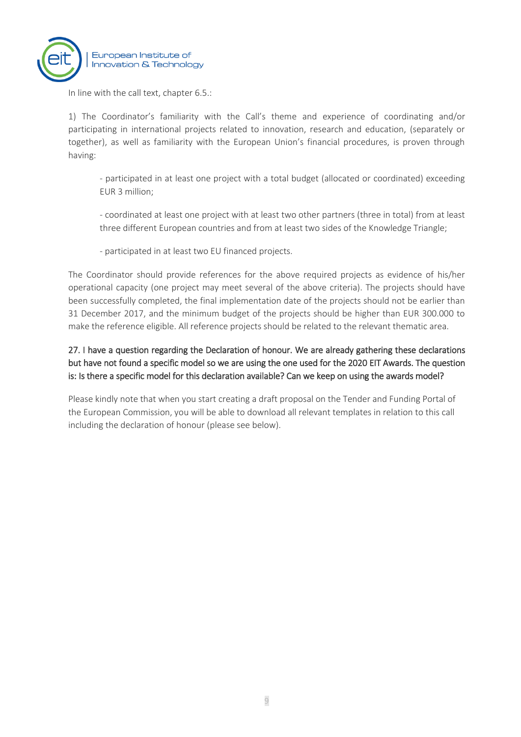

In line with the call text, chapter 6.5.:

1) The Coordinator's familiarity with the Call's theme and experience of coordinating and/or participating in international projects related to innovation, research and education, (separately or together), as well as familiarity with the European Union's financial procedures, is proven through having:

- participated in at least one project with a total budget (allocated or coordinated) exceeding EUR 3 million;
- coordinated at least one project with at least two other partners (three in total) from at least three different European countries and from at least two sides of the Knowledge Triangle;
- participated in at least two EU financed projects.

The Coordinator should provide references for the above required projects as evidence of his/her operational capacity (one project may meet several of the above criteria). The projects should have been successfully completed, the final implementation date of the projects should not be earlier than 31 December 2017, and the minimum budget of the projects should be higher than EUR 300.000 to make the reference eligible. All reference projects should be related to the relevant thematic area.

## 27. I have a question regarding the Declaration of honour. We are already gathering these declarations but have not found a specific model so we are using the one used for the 2020 EIT Awards. The question is: Is there a specific model for this declaration available? Can we keep on using the awards model?

Please kindly note that when you start creating a draft proposal on the Tender and Funding Portal of the European Commission, you will be able to download all relevant templates in relation to this call including the declaration of honour (please see below).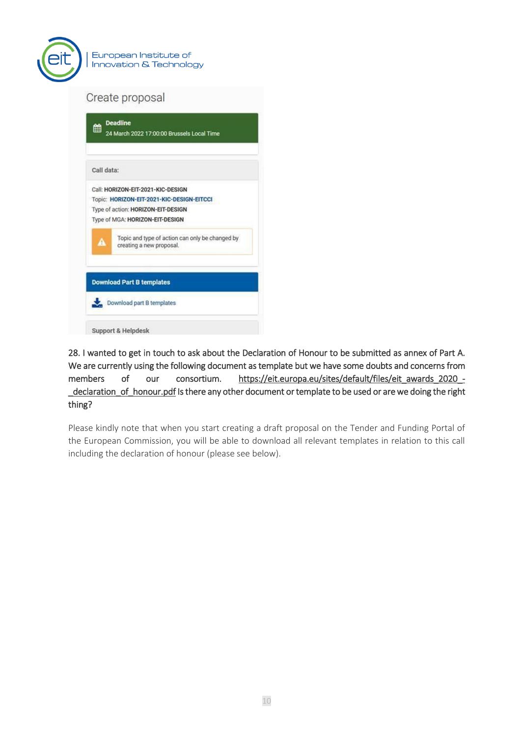

| 巤          | <b>Deadline</b><br>24 March 2022 17:00:00 Brussels Local Time               |
|------------|-----------------------------------------------------------------------------|
| Call data: |                                                                             |
|            | Call: HORIZON-EIT-2021-KIC-DESIGN                                           |
|            | Topic: HORIZON-EIT-2021-KIC-DESIGN-EITCCI                                   |
|            | Type of action: HORIZON-EIT-DESIGN                                          |
|            | Type of MGA: HORIZON-EIT-DESIGN                                             |
| Α          | Topic and type of action can only be changed by<br>creating a new proposal. |
|            | <b>Download Part B templates</b><br>Download part B templates               |

28. I wanted to get in touch to ask about the Declaration of Honour to be submitted as annex of Part A. We are currently using the following document as template but we have some doubts and concerns from members of our consortium. [https://eit.europa.eu/sites/default/files/eit\\_awards\\_2020\\_-](https://eur06.safelinks.protection.outlook.com/?url=https%3A%2F%2Feit.europa.eu%2Fsites%2Fdefault%2Ffiles%2Feit_awards_2020_-_declaration_of_honour.pdf&data=04%7C01%7CEIT-KICs-Call-2021%40eit.europa.eu%7Cb7c5e343f84b4162626208d9d1b904c7%7Cd3092f1488d24a778942296a0d2cc07e%7C0%7C0%7C637771414876677409%7CUnknown%7CTWFpbGZsb3d8eyJWIjoiMC4wLjAwMDAiLCJQIjoiV2luMzIiLCJBTiI6Ik1haWwiLCJXVCI6Mn0%3D%7C3000&sdata=RtqF6lMWwbcw5EyZE59R0OdfMo2MPKgyLDjHEeSTQBs%3D&reserved=0) [\\_declaration\\_of\\_honour.pdf I](https://eur06.safelinks.protection.outlook.com/?url=https%3A%2F%2Feit.europa.eu%2Fsites%2Fdefault%2Ffiles%2Feit_awards_2020_-_declaration_of_honour.pdf&data=04%7C01%7CEIT-KICs-Call-2021%40eit.europa.eu%7Cb7c5e343f84b4162626208d9d1b904c7%7Cd3092f1488d24a778942296a0d2cc07e%7C0%7C0%7C637771414876677409%7CUnknown%7CTWFpbGZsb3d8eyJWIjoiMC4wLjAwMDAiLCJQIjoiV2luMzIiLCJBTiI6Ik1haWwiLCJXVCI6Mn0%3D%7C3000&sdata=RtqF6lMWwbcw5EyZE59R0OdfMo2MPKgyLDjHEeSTQBs%3D&reserved=0)s there any other document or template to be used or are we doing the right thing?

Please kindly note that when you start creating a draft proposal on the Tender and Funding Portal of the European Commission, you will be able to download all relevant templates in relation to this call including the declaration of honour (please see below).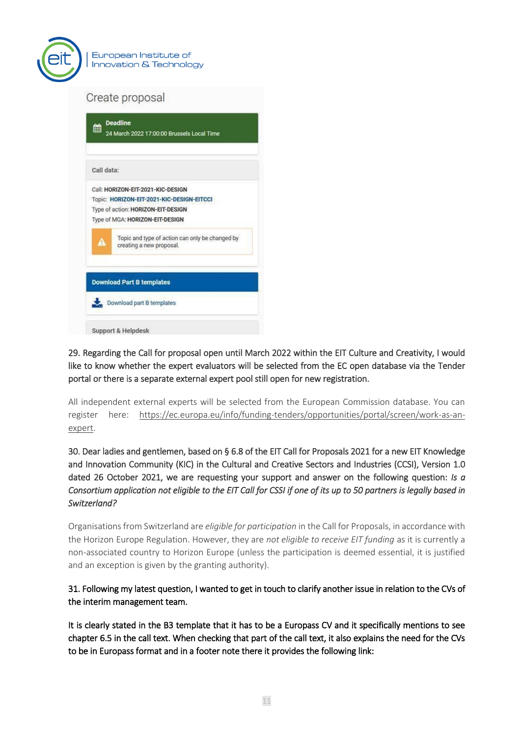

| 龠          | 24 March 2022 17:00:00 Brussels Local Time                                  |
|------------|-----------------------------------------------------------------------------|
| Call data: |                                                                             |
|            | Call: HORIZON-EIT-2021-KIC-DESIGN                                           |
|            | Topic: HORIZON-EIT-2021-KIC-DESIGN-EITCCI                                   |
|            | Type of action: HORIZON-EIT-DESIGN                                          |
|            | Type of MGA: HORIZON-EIT-DESIGN                                             |
| A          | Topic and type of action can only be changed by<br>creating a new proposal. |
|            | <b>Download Part B templates</b><br>Download part B templates               |

29. Regarding the Call for proposal open until March 2022 within the EIT Culture and Creativity, I would like to know whether the expert evaluators will be selected from the EC open database via the Tender portal or there is a separate external expert pool still open for new registration.

All independent external experts will be selected from the European Commission database. You can register here: [https://ec.europa.eu/info/funding-tenders/opportunities/portal/screen/work-as-an](https://ec.europa.eu/info/funding-tenders/opportunities/portal/screen/work-as-an-expert)[expert.](https://ec.europa.eu/info/funding-tenders/opportunities/portal/screen/work-as-an-expert)

30. Dear ladies and gentlemen, based on § 6.8 of the EIT Call for Proposals 2021 for a new EIT Knowledge and Innovation Community (KIC) in the Cultural and Creative Sectors and Industries (CCSI), Version 1.0 dated 26 October 2021, we are requesting your support and answer on the following question: *Is a Consortium application not eligible to the EIT Call for CSSI if one of its up to 50 partners is legally based in Switzerland?* 

Organisations from Switzerland are *eligible for participation* in the Call for Proposals, in accordance with the Horizon Europe Regulation. However, they are *not eligible to receive EIT funding* as it is currently a non-associated country to Horizon Europe (unless the participation is deemed essential, it is justified and an exception is given by the granting authority).

31. Following my latest question, I wanted to get in touch to clarify another issue in relation to the CVs of the interim management team.

It is clearly stated in the B3 template that it has to be a Europass CV and it specifically mentions to see chapter 6.5 in the call text. When checking that part of the call text, it also explains the need for the CVs to be in Europass format and in a footer note there it provides the following link: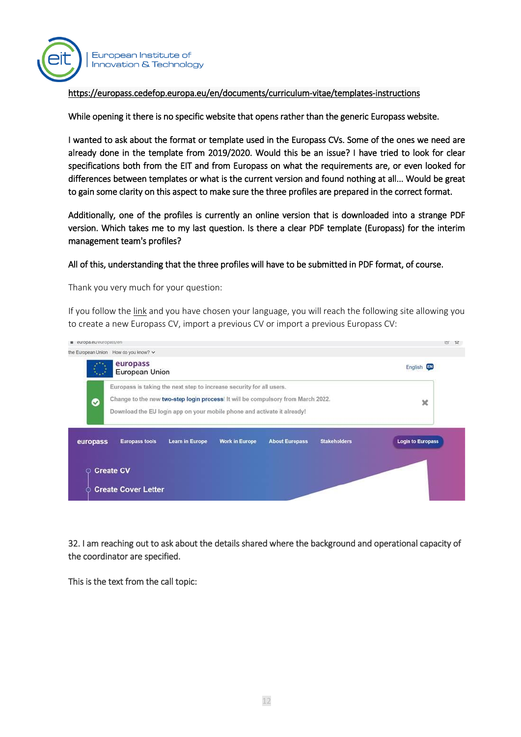

#### [https://europass.cedefop.europa.eu/en/documents/curriculum-vitae/templates-instructions](https://eur06.safelinks.protection.outlook.com/?url=https%3A%2F%2Feuropass.cedefop.europa.eu%2Fen%2Fdocuments%2Fcurriculum-vitae%2Ftemplates-instructions&data=04%7C01%7CEIT-KICs-Call-2021%40eit.europa.eu%7C05854e334f7e49da1fc008d9da9f1166%7Cd3092f1488d24a778942296a0d2cc07e%7C0%7C0%7C637781199021166167%7CUnknown%7CTWFpbGZsb3d8eyJWIjoiMC4wLjAwMDAiLCJQIjoiV2luMzIiLCJBTiI6Ik1haWwiLCJXVCI6Mn0%3D%7C3000&sdata=Pp5r956NzpeEhTTzb6EnSjIP2Ifpfj%2BMRM1QdvOkiWM%3D&reserved=0)

While opening it there is no specific website that opens rather than the generic Europass website.

I wanted to ask about the format or template used in the Europass CVs. Some of the ones we need are already done in the template from 2019/2020. Would this be an issue? I have tried to look for clear specifications both from the EIT and from Europass on what the requirements are, or even looked for differences between templates or what is the current version and found nothing at all... Would be great to gain some clarity on this aspect to make sure the three profiles are prepared in the correct format.

Additionally, one of the profiles is currently an online version that is downloaded into a strange PDF version. Which takes me to my last question. Is there a clear PDF template (Europass) for the interim management team's profiles?

#### All of this, understanding that the three profiles will have to be submitted in PDF format, of course.

Thank you very much for your question:

If you follow the [link](https://europa.eu/europass/select-language?destination=/node/1) and you have chosen your language, you will reach the following site allowing you to create a new Europass CV, import a previous CV or import a previous Europass CV:



32. I am reaching out to ask about the details shared where the background and operational capacity of the coordinator are specified.

This is the text from the call topic: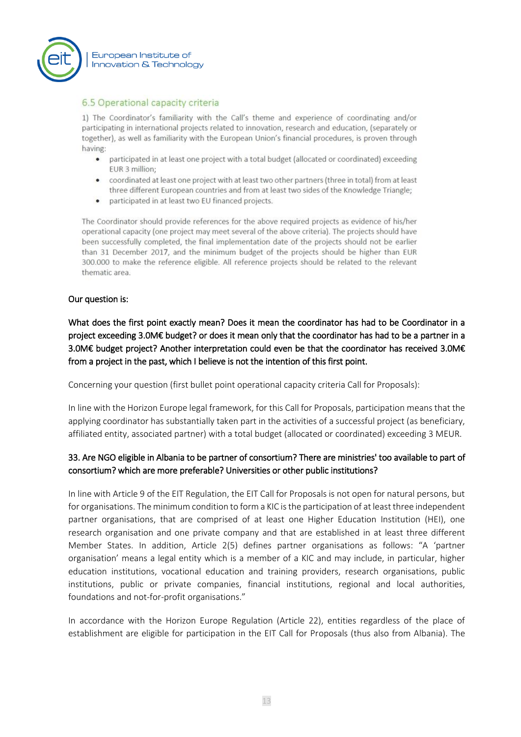

#### 6.5 Operational capacity criteria

1) The Coordinator's familiarity with the Call's theme and experience of coordinating and/or participating in international projects related to innovation, research and education, (separately or together), as well as familiarity with the European Union's financial procedures, is proven through having:

- participated in at least one project with a total budget (allocated or coordinated) exceeding EUR 3 million;
- coordinated at least one project with at least two other partners (three in total) from at least three different European countries and from at least two sides of the Knowledge Triangle;
- participated in at least two EU financed projects.

The Coordinator should provide references for the above required projects as evidence of his/her operational capacity (one project may meet several of the above criteria). The projects should have been successfully completed, the final implementation date of the projects should not be earlier than 31 December 2017, and the minimum budget of the projects should be higher than EUR 300.000 to make the reference eligible. All reference projects should be related to the relevant thematic area.

#### Our question is:

What does the first point exactly mean? Does it mean the coordinator has had to be Coordinator in a project exceeding 3.0M€ budget? or does it mean only that the coordinator has had to be a partner in a 3.0M€ budget project? Another interpretation could even be that the coordinator has received 3.0M€ from a project in the past, which I believe is not the intention of this first point.

Concerning your question (first bullet point operational capacity criteria Call for Proposals):

In line with the Horizon Europe legal framework, for this Call for Proposals, participation means that the applying coordinator has substantially taken part in the activities of a successful project (as beneficiary, affiliated entity, associated partner) with a total budget (allocated or coordinated) exceeding 3 MEUR.

#### 33. Are NGO eligible in Albania to be partner of consortium? There are ministries' too available to part of consortium? which are more preferable? Universities or other public institutions?

In line with Article 9 of the EIT Regulation, the EIT Call for Proposals is not open for natural persons, but for organisations. The minimum condition to form a KIC is the participation of at least three independent partner organisations, that are comprised of at least one Higher Education Institution (HEI), one research organisation and one private company and that are established in at least three different Member States. In addition, Article 2(5) defines partner organisations as follows: "A 'partner organisation' means a legal entity which is a member of a KIC and may include, in particular, higher education institutions, vocational education and training providers, research organisations, public institutions, public or private companies, financial institutions, regional and local authorities, foundations and not-for-profit organisations."

In accordance with the Horizon Europe Regulation (Article 22), entities regardless of the place of establishment are eligible for participation in the EIT Call for Proposals (thus also from Albania). The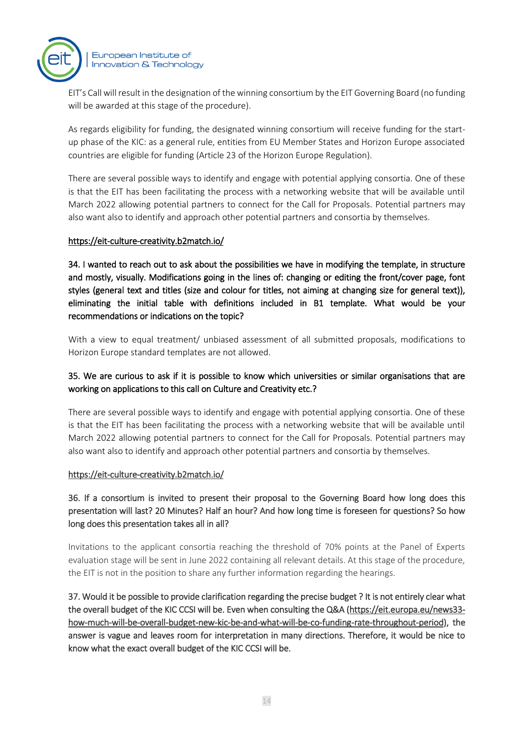

EIT's Call will result in the designation of the winning consortium by the EIT Governing Board (no funding will be awarded at this stage of the procedure).

As regards eligibility for funding, the designated winning consortium will receive funding for the startup phase of the KIC: as a general rule, entities from EU Member States and Horizon Europe associated countries are eligible for funding (Article 23 of the Horizon Europe Regulation).

There are several possible ways to identify and engage with potential applying consortia. One of these is that the EIT has been facilitating the process with a networking website that will be available until March 2022 allowing potential partners to connect for the Call for Proposals. Potential partners may also want also to identify and approach other potential partners and consortia by themselves.

#### <https://eit-culture-creativity.b2match.io/>

34. I wanted to reach out to ask about the possibilities we have in modifying the template, in structure and mostly, visually. Modifications going in the lines of: changing or editing the front/cover page, font styles (general text and titles (size and colour for titles, not aiming at changing size for general text)), eliminating the initial table with definitions included in B1 template. What would be your recommendations or indications on the topic?

With a view to equal treatment/ unbiased assessment of all submitted proposals, modifications to Horizon Europe standard templates are not allowed.

### 35. We are curious to ask if it is possible to know which universities or similar organisations that are working on applications to this call on Culture and Creativity etc.?

There are several possible ways to identify and engage with potential applying consortia. One of these is that the EIT has been facilitating the process with a networking website that will be available until March 2022 allowing potential partners to connect for the Call for Proposals. Potential partners may also want also to identify and approach other potential partners and consortia by themselves.

#### <https://eit-culture-creativity.b2match.io/>

## 36. If a consortium is invited to present their proposal to the Governing Board how long does this presentation will last? 20 Minutes? Half an hour? And how long time is foreseen for questions? So how long does this presentation takes all in all?

Invitations to the applicant consortia reaching the threshold of 70% points at the Panel of Experts evaluation stage will be sent in June 2022 containing all relevant details. At this stage of the procedure, the EIT is not in the position to share any further information regarding the hearings.

37. Would it be possible to provide clarification regarding the precise budget ? It is not entirely clear what the overall budget of the KIC CCSI will be. Even when consulting the Q&A [\(https://eit.europa.eu/news33](https://eur06.safelinks.protection.outlook.com/?url=https%3A%2F%2Feit.europa.eu%2Fnews33-how-much-will-be-overall-budget-new-kic-be-and-what-will-be-co-funding-rate-throughout-period&data=04%7C01%7CEIT-KICs-Call-2021%40eit.europa.eu%7C7e9729bc55874e1dcff108d9df26a9ed%7Cd3092f1488d24a778942296a0d2cc07e%7C0%7C0%7C637786179451829366%7CUnknown%7CTWFpbGZsb3d8eyJWIjoiMC4wLjAwMDAiLCJQIjoiV2luMzIiLCJBTiI6Ik1haWwiLCJXVCI6Mn0%3D%7C3000&sdata=7N6UFyUweFlPwGGjyb4CSawu6zChrt%2BI2bWa9jKBoSU%3D&reserved=0) [how-much-will-be-overall-budget-new-kic-be-and-what-will-be-co-funding-rate-throughout-period\)](https://eur06.safelinks.protection.outlook.com/?url=https%3A%2F%2Feit.europa.eu%2Fnews33-how-much-will-be-overall-budget-new-kic-be-and-what-will-be-co-funding-rate-throughout-period&data=04%7C01%7CEIT-KICs-Call-2021%40eit.europa.eu%7C7e9729bc55874e1dcff108d9df26a9ed%7Cd3092f1488d24a778942296a0d2cc07e%7C0%7C0%7C637786179451829366%7CUnknown%7CTWFpbGZsb3d8eyJWIjoiMC4wLjAwMDAiLCJQIjoiV2luMzIiLCJBTiI6Ik1haWwiLCJXVCI6Mn0%3D%7C3000&sdata=7N6UFyUweFlPwGGjyb4CSawu6zChrt%2BI2bWa9jKBoSU%3D&reserved=0), the answer is vague and leaves room for interpretation in many directions. Therefore, it would be nice to know what the exact overall budget of the KIC CCSI will be.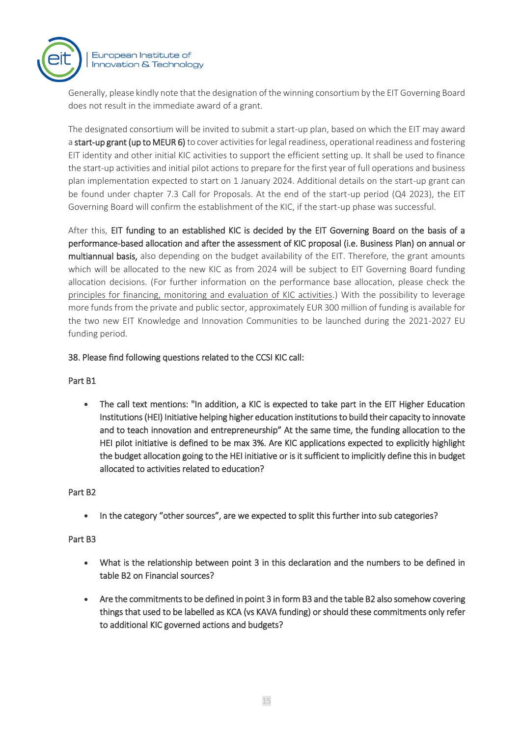

Generally, please kindly note that the designation of the winning consortium by the EIT Governing Board does not result in the immediate award of a grant.

The designated consortium will be invited to submit a start-up plan, based on which the EIT may award a start-up grant (up to MEUR 6) to cover activities for legal readiness, operational readiness and fostering EIT identity and other initial KIC activities to support the efficient setting up. It shall be used to finance the start-up activities and initial pilot actions to prepare for the first year of full operations and business plan implementation expected to start on 1 January 2024. Additional details on the start-up grant can be found under chapter 7.3 Call for Proposals. At the end of the start-up period (Q4 2023), the EIT Governing Board will confirm the establishment of the KIC, if the start-up phase was successful.

After this, EIT funding to an established KIC is decided by the EIT Governing Board on the basis of a performance-based allocation and after the assessment of KIC proposal (i.e. Business Plan) on annual or multiannual basis, also depending on the budget availability of the EIT. Therefore, the grant amounts which will be allocated to the new KIC as from 2024 will be subject to EIT Governing Board funding allocation decisions. (For further information on the performance base allocation, please check the [principles for financing, monitoring and evaluation of KIC activities.](https://eur06.safelinks.protection.outlook.com/?url=https%3A%2F%2Feit.europa.eu%2Fsites%2Fdefault%2Ffiles%2F2021-14_20210507-gbwp_principles_on_fin_mon_eval_kics_activities_to_gb_dml_eit.pdf&data=04%7C01%7CEIT-KICs-Call-2021%40eit.europa.eu%7C7e9729bc55874e1dcff108d9df26a9ed%7Cd3092f1488d24a778942296a0d2cc07e%7C0%7C0%7C637786179451829366%7CUnknown%7CTWFpbGZsb3d8eyJWIjoiMC4wLjAwMDAiLCJQIjoiV2luMzIiLCJBTiI6Ik1haWwiLCJXVCI6Mn0%3D%7C3000&sdata=mR6Fri%2BFJXs%2BCqxDm7axCXmYQp1BONund3%2FA668RCPc%3D&reserved=0)) With the possibility to leverage more funds from the private and public sector, approximately EUR 300 million of funding is available for the two new EIT Knowledge and Innovation Communities to be launched during the 2021-2027 EU funding period.

#### 38. Please find following questions related to the CCSI KIC call:

#### Part B1

• The call text mentions: "In addition, a KIC is expected to take part in the EIT Higher Education Institutions (HEI) Initiative helping higher education institutions to build their capacity to innovate and to teach innovation and entrepreneurship" At the same time, the funding allocation to the HEI pilot initiative is defined to be max 3%. Are KIC applications expected to explicitly highlight the budget allocation going to the HEI initiative or is it sufficient to implicitly define this in budget allocated to activities related to education?

#### Part B2

In the category "other sources", are we expected to split this further into sub categories?

#### Part B3

- What is the relationship between point 3 in this declaration and the numbers to be defined in table B2 on Financial sources?
- Are the commitments to be defined in point 3 in form B3 and the table B2 also somehow covering things that used to be labelled as KCA (vs KAVA funding) or should these commitments only refer to additional KIC governed actions and budgets?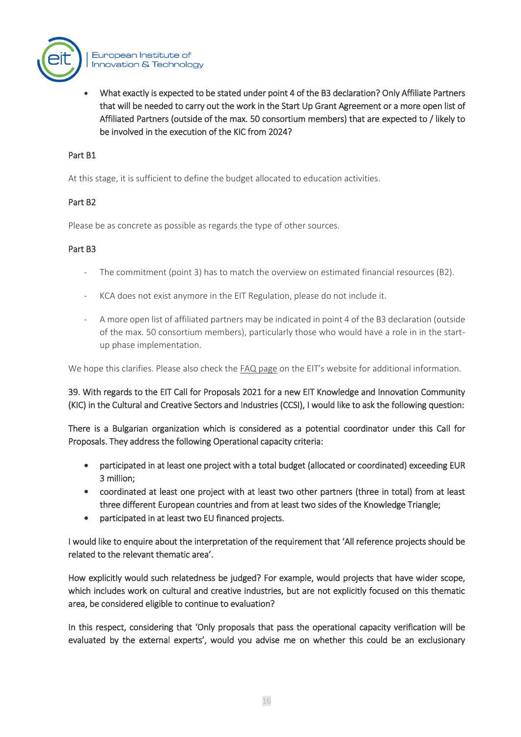

• What exactly is expected to be stated under point 4 of the B3 declaration? Only Affiliate Partners that will be needed to carry out the work in the Start Up Grant Agreement or a more open list of Affiliated Partners (outside of the max. 50 consortium members) that are expected to / likely to be involved in the execution of the KIC from 2024?

#### Part B1

At this stage, it is sufficient to define the budget allocated to education activities.

#### Part B2

Please be as concrete as possible as regards the type of other sources.

#### Part B3

- The commitment (point 3) has to match the overview on estimated financial resources (B2).
- KCA does not exist anymore in the EIT Regulation, please do not include it.
- A more open list of affiliated partners may be indicated in point 4 of the B3 declaration (outside of the max. 50 consortium members), particularly those who would have a role in in the startup phase implementation.

We hope this clarifies. Please also check the [FAQ page](https://eur06.safelinks.protection.outlook.com/?url=https%3A%2F%2Feit.europa.eu%2Four-activities%2Fcall-for-eit-communities%2F2021%2Ffaq&data=04%7C01%7CEIT-KICs-Call-2021%40eit.europa.eu%7C7e9729bc55874e1dcff108d9df26a9ed%7Cd3092f1488d24a778942296a0d2cc07e%7C0%7C0%7C637786179451829366%7CUnknown%7CTWFpbGZsb3d8eyJWIjoiMC4wLjAwMDAiLCJQIjoiV2luMzIiLCJBTiI6Ik1haWwiLCJXVCI6Mn0%3D%7C3000&sdata=e%2BsDZ%2BakD3yei8Aq%2Fbb0HQLHHUxBu4AinD96K1N3xBI%3D&reserved=0) on the EIT's website for additional information.

39. With regards to the EIT Call for Proposals 2021 for a new EIT Knowledge and Innovation Community (KIC) in the Cultural and Creative Sectors and Industries (CCSI), I would like to ask the following question:

There is a Bulgarian organization which is considered as a potential coordinator under this Call for Proposals. They address the following Operational capacity criteria:

- participated in at least one project with a total budget (allocated or coordinated) exceeding EUR 3 million;
- coordinated at least one project with at least two other partners (three in total) from at least three different European countries and from at least two sides of the Knowledge Triangle;
- participated in at least two EU financed projects.

I would like to enquire about the interpretation of the requirement that 'All reference projects should be related to the relevant thematic area'.

How explicitly would such relatedness be judged? For example, would projects that have wider scope, which includes work on cultural and creative industries, but are not explicitly focused on this thematic area, be considered eligible to continue to evaluation?

In this respect, considering that 'Only proposals that pass the operational capacity verification will be evaluated by the external experts', would you advise me on whether this could be an exclusionary